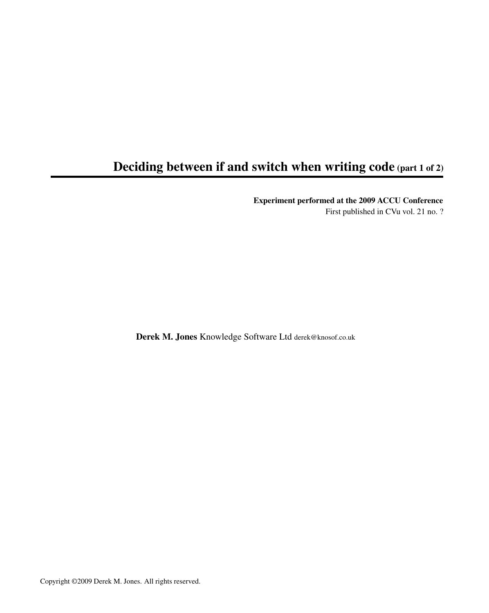## Deciding between if and switch when writing code (part 1 of 2)

Experiment performed at the 2009 ACCU Conference

First published in CVu vol. 21 no. ?

Derek M. Jones Knowledge Software Ltd derek@knosof.co.uk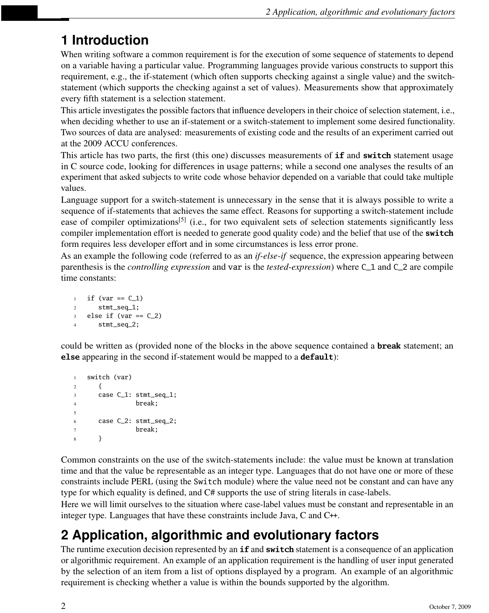# **1 Introduction**

When writing software a common requirement is for the execution of some sequence of statements to depend on a variable having a particular value. Programming languages provide various constructs to support this requirement, e.g., the if-statement (which often supports checking against a single value) and the switchstatement (which supports the checking against a set of values). Measurements show that approximately every fifth statement is a selection statement.

This article investigates the possible factors that influence developers in their choice of selection statement, i.e., when deciding whether to use an if-statement or a switch-statement to implement some desired functionality. Two sources of data are analysed: measurements of existing code and the results of an experiment carried out at the 2009 ACCU conferences.

This article has two parts, the first (this one) discusses measurements of **if** and **switch** statement usage in C source code, looking for differences in usage patterns; while a second one analyses the results of an experiment that asked subjects to write code whose behavior depended on a variable that could take multiple values.

Language support for a switch-statement is unnecessary in the sense that it is always possible to write a sequence of if-statements that achieves the same effect. Reasons for supporting a switch-statement include ease of compiler optimizations<sup>[5]</sup> (i.e., for two equivalent sets of selection statements significantly less compiler implementation effort is needed to generate good quality code) and the belief that use of the **switch** form requires less developer effort and in some circumstances is less error prone.

As an example the following code (referred to as an *if-else-if* sequence, the expression appearing between parenthesis is the *controlling expression* and var is the *tested-expression*) where C\_1 and C\_2 are compile time constants:

```
1 if (var == C_1)
2 stmt_seq_1;
3 else if (var == C_2)
4 stmt_seq_2;
```
could be written as (provided none of the blocks in the above sequence contained a **break** statement; an **else** appearing in the second if-statement would be mapped to a **default**):

```
1 switch (var)
2 {
3 case C_1: stmt_seq_1;
4 break;
5
6 case C_2: stmt_seq_2;
7 break;
8 }
```
Common constraints on the use of the switch-statements include: the value must be known at translation time and that the value be representable as an integer type. Languages that do not have one or more of these constraints include PERL (using the Switch module) where the value need not be constant and can have any type for which equality is defined, and C# supports the use of string literals in case-labels.

Here we will limit ourselves to the situation where case-label values must be constant and representable in an integer type. Languages that have these constraints include Java,  $C$  and  $C^+$ .

# **2 Application, algorithmic and evolutionary factors**

The runtime execution decision represented by an **if** and **switch** statement is a consequence of an application or algorithmic requirement. An example of an application requirement is the handling of user input generated by the selection of an item from a list of options displayed by a program. An example of an algorithmic requirement is checking whether a value is within the bounds supported by the algorithm.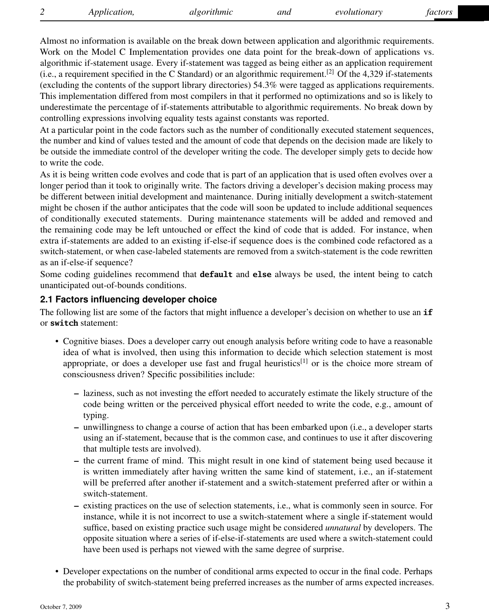Almost no information is available on the break down between application and algorithmic requirements. Work on the Model C Implementation provides one data point for the break-down of applications vs. algorithmic if-statement usage. Every if-statement was tagged as being either as an application requirement (i.e., a requirement specified in the C Standard) or an algorithmic requirement.<sup>[2]</sup> Of the 4,329 if-statements (excluding the contents of the support library directories) 54.3% were tagged as applications requirements. This implementation differed from most compilers in that it performed no optimizations and so is likely to underestimate the percentage of if-statements attributable to algorithmic requirements. No break down by controlling expressions involving equality tests against constants was reported.

At a particular point in the code factors such as the number of conditionally executed statement sequences, the number and kind of values tested and the amount of code that depends on the decision made are likely to be outside the immediate control of the developer writing the code. The developer simply gets to decide how to write the code.

As it is being written code evolves and code that is part of an application that is used often evolves over a longer period than it took to originally write. The factors driving a developer's decision making process may be different between initial development and maintenance. During initially development a switch-statement might be chosen if the author anticipates that the code will soon be updated to include additional sequences of conditionally executed statements. During maintenance statements will be added and removed and the remaining code may be left untouched or effect the kind of code that is added. For instance, when extra if-statements are added to an existing if-else-if sequence does is the combined code refactored as a switch-statement, or when case-labeled statements are removed from a switch-statement is the code rewritten as an if-else-if sequence?

Some coding guidelines recommend that **default** and **else** always be used, the intent being to catch unanticipated out-of-bounds conditions.

### **2.1 Factors influencing developer choice**

The following list are some of the factors that might influence a developer's decision on whether to use an **if** or **switch** statement:

- Cognitive biases. Does a developer carry out enough analysis before writing code to have a reasonable idea of what is involved, then using this information to decide which selection statement is most appropriate, or does a developer use fast and frugal heuristics<sup>[1]</sup> or is the choice more stream of consciousness driven? Specific possibilities include:
	- laziness, such as not investing the effort needed to accurately estimate the likely structure of the code being written or the perceived physical effort needed to write the code, e.g., amount of typing.
	- unwillingness to change a course of action that has been embarked upon (i.e., a developer starts using an if-statement, because that is the common case, and continues to use it after discovering that multiple tests are involved).
	- the current frame of mind. This might result in one kind of statement being used because it is written immediately after having written the same kind of statement, i.e., an if-statement will be preferred after another if-statement and a switch-statement preferred after or within a switch-statement.
	- existing practices on the use of selection statements, i.e., what is commonly seen in source. For instance, while it is not incorrect to use a switch-statement where a single if-statement would suffice, based on existing practice such usage might be considered *unnatural* by developers. The opposite situation where a series of if-else-if-statements are used where a switch-statement could have been used is perhaps not viewed with the same degree of surprise.
- Developer expectations on the number of conditional arms expected to occur in the final code. Perhaps the probability of switch-statement being preferred increases as the number of arms expected increases.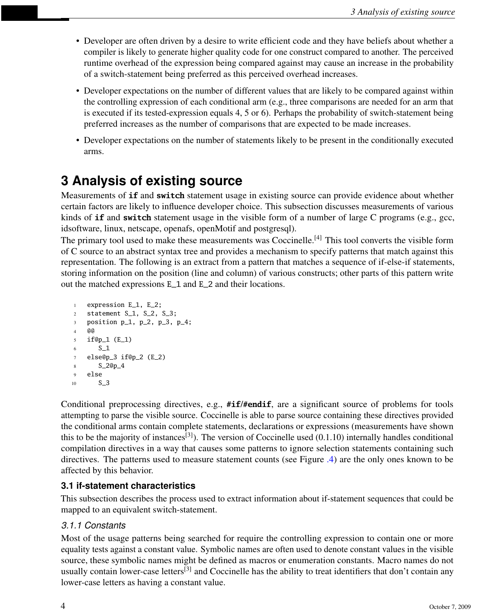- Developer are often driven by a desire to write efficient code and they have beliefs about whether a compiler is likely to generate higher quality code for one construct compared to another. The perceived runtime overhead of the expression being compared against may cause an increase in the probability of a switch-statement being preferred as this perceived overhead increases.
- Developer expectations on the number of different values that are likely to be compared against within the controlling expression of each conditional arm (e.g., three comparisons are needed for an arm that is executed if its tested-expression equals 4, 5 or 6). Perhaps the probability of switch-statement being preferred increases as the number of comparisons that are expected to be made increases.
- Developer expectations on the number of statements likely to be present in the conditionally executed arms.

## **3 Analysis of existing source**

Measurements of **if** and **switch** statement usage in existing source can provide evidence about whether certain factors are likely to influence developer choice. This subsection discusses measurements of various kinds of **if** and **switch** statement usage in the visible form of a number of large C programs (e.g., gcc, idsoftware, linux, netscape, openafs, openMotif and postgresql).

The primary tool used to make these measurements was Coccinelle.<sup>[4]</sup> This tool converts the visible form of C source to an abstract syntax tree and provides a mechanism to specify patterns that match against this representation. The following is an extract from a pattern that matches a sequence of if-else-if statements, storing information on the position (line and column) of various constructs; other parts of this pattern write out the matched expressions E\_1 and E\_2 and their locations.

```
1 expression E_1, E_2;
2 statement S_1, S_2, S_3;
3 position p_1, p_2, p_3, p_4;
4 @@
5 if@p_1 (E_1)
6 S_1
7 else@p_3 if@p_2 (E_2)
8 S_2@p_4
9 else
10 S 3
```
Conditional preprocessing directives, e.g., **#if**/**#endif**, are a significant source of problems for tools attempting to parse the visible source. Coccinelle is able to parse source containing these directives provided the conditional arms contain complete statements, declarations or expressions (measurements have shown this to be the majority of instances<sup>[3]</sup>). The version of Coccinelle used  $(0.1.10)$  internally handles conditional compilation directives in a way that causes some patterns to ignore selection statements containing such directives. The patterns used to measure statement counts (see Figure [.4\)](#page-11-0) are the only ones known to be affected by this behavior.

### **3.1 if-statement characteristics**

This subsection describes the process used to extract information about if-statement sequences that could be mapped to an equivalent switch-statement.

### *3.1.1 Constants*

Most of the usage patterns being searched for require the controlling expression to contain one or more equality tests against a constant value. Symbolic names are often used to denote constant values in the visible source, these symbolic names might be defined as macros or enumeration constants. Macro names do not usually contain lower-case letters<sup>[3]</sup> and Coccinelle has the ability to treat identifiers that don't contain any lower-case letters as having a constant value.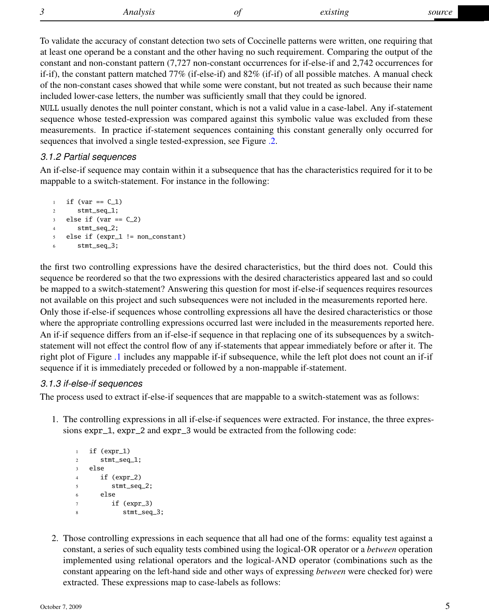To validate the accuracy of constant detection two sets of Coccinelle patterns were written, one requiring that at least one operand be a constant and the other having no such requirement. Comparing the output of the constant and non-constant pattern (7,727 non-constant occurrences for if-else-if and 2,742 occurrences for if-if), the constant pattern matched 77% (if-else-if) and 82% (if-if) of all possible matches. A manual check of the non-constant cases showed that while some were constant, but not treated as such because their name included lower-case letters, the number was sufficiently small that they could be ignored.

NULL usually denotes the null pointer constant, which is not a valid value in a case-label. Any if-statement sequence whose tested-expression was compared against this symbolic value was excluded from these measurements. In practice if-statement sequences containing this constant generally only occurred for sequences that involved a single tested-expression, see Figure [.2.](#page-9-0)

### *3.1.2 Partial sequences*

An if-else-if sequence may contain within it a subsequence that has the characteristics required for it to be mappable to a switch-statement. For instance in the following:

```
1 if (var == C_1)
2 stmt_seq_1;
3 else if (var == C_2)
4 stmt_seq_2;
5 else if (expr_1 != non_constant)
6 stmt_seq_3;
```
the first two controlling expressions have the desired characteristics, but the third does not. Could this sequence be reordered so that the two expressions with the desired characteristics appeared last and so could be mapped to a switch-statement? Answering this question for most if-else-if sequences requires resources not available on this project and such subsequences were not included in the measurements reported here. Only those if-else-if sequences whose controlling expressions all have the desired characteristics or those where the appropriate controlling expressions occurred last were included in the measurements reported here. An if-if sequence differs from an if-else-if sequence in that replacing one of its subsequences by a switchstatement will not effect the control flow of any if-statements that appear immediately before or after it. The right plot of Figure [.1](#page-6-0) includes any mappable if-if subsequence, while the left plot does not count an if-if sequence if it is immediately preceded or followed by a non-mappable if-statement.

### *3.1.3 if-else-if sequences*

The process used to extract if-else-if sequences that are mappable to a switch-statement was as follows:

1. The controlling expressions in all if-else-if sequences were extracted. For instance, the three expressions expr\_1, expr\_2 and expr\_3 would be extracted from the following code:

```
1 if (expr_1)
2 stmt_seq_1;
3 else
4 if (expr_2)
5 stmt_seq_2;
6 else
7 \quad \text{if (expr_3)}8 stmt_seq_3;
```
2. Those controlling expressions in each sequence that all had one of the forms: equality test against a constant, a series of such equality tests combined using the logical-OR operator or a *between* operation implemented using relational operators and the logical-AND operator (combinations such as the constant appearing on the left-hand side and other ways of expressing *between* were checked for) were extracted. These expressions map to case-labels as follows: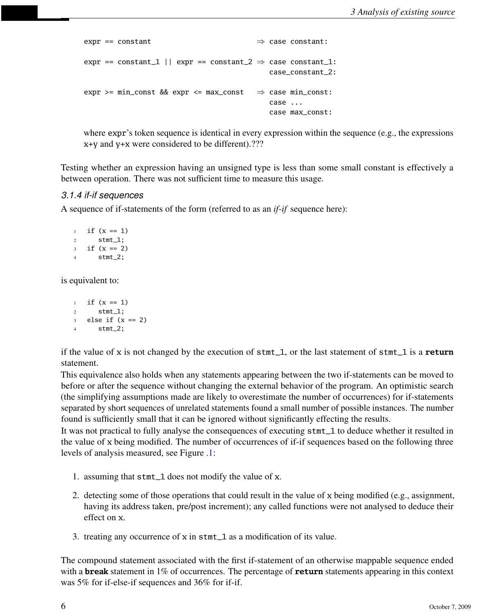```
expr == constant \Rightarrow case constant:
expr == constant_1 || expr == constant_2 \Rightarrow case constant_1:
                                            case_constant_2:
expr >= min_const && expr <= max_const \Rightarrow case min_const:
                                             case ...
                                             case max_const:
```
where expr's token sequence is identical in every expression within the sequence (e.g., the expressions x+y and y+x were considered to be different).???

Testing whether an expression having an unsigned type is less than some small constant is effectively a between operation. There was not sufficient time to measure this usage.

#### *3.1.4 if-if sequences*

A sequence of if-statements of the form (referred to as an *if-if* sequence here):

```
1 if (x == 1)2 stmt_1;
3 \text{ if } (x == 2)4 stmt_2;
```
is equivalent to:

```
1 if (x == 1)2 stmt_1;
3 else if (x == 2)4 stmt_2;
```
if the value of x is not changed by the execution of stmt\_1, or the last statement of stmt\_1 is a **return** statement.

This equivalence also holds when any statements appearing between the two if-statements can be moved to before or after the sequence without changing the external behavior of the program. An optimistic search (the simplifying assumptions made are likely to overestimate the number of occurrences) for if-statements separated by short sequences of unrelated statements found a small number of possible instances. The number found is sufficiently small that it can be ignored without significantly effecting the results.

It was not practical to fully analyse the consequences of executing stmt\_1 to deduce whether it resulted in the value of x being modified. The number of occurrences of if-if sequences based on the following three levels of analysis measured, see Figure [.1:](#page-6-0)

- 1. assuming that stmt\_1 does not modify the value of x.
- 2. detecting some of those operations that could result in the value of x being modified (e.g., assignment, having its address taken, pre/post increment); any called functions were not analysed to deduce their effect on x.
- 3. treating any occurrence of x in stmt\_1 as a modification of its value.

The compound statement associated with the first if-statement of an otherwise mappable sequence ended with a **break** statement in 1% of occurrences. The percentage of **return** statements appearing in this context was 5% for if-else-if sequences and 36% for if-if.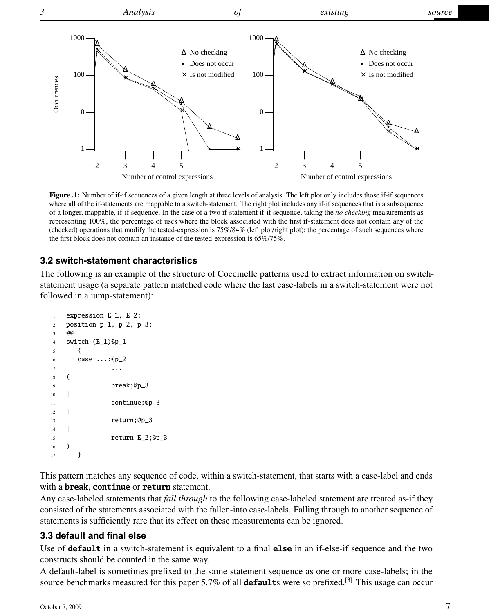

<span id="page-6-0"></span>Figure .1: Number of if-if sequences of a given length at three levels of analysis. The left plot only includes those if-if sequences where all of the if-statements are mappable to a switch-statement. The right plot includes any if-if sequences that is a subsequence of a longer, mappable, if-if sequence. In the case of a two if-statement if-if sequence, taking the *no checking* measurements as representing 100%, the percentage of uses where the block associated with the first if-statement does not contain any of the (checked) operations that modify the tested-expression is 75%/84% (left plot/right plot); the percentage of such sequences where the first block does not contain an instance of the tested-expression is 65%/75%.

#### **3.2 switch-statement characteristics**

The following is an example of the structure of Coccinelle patterns used to extract information on switchstatement usage (a separate pattern matched code where the last case-labels in a switch-statement were not followed in a jump-statement):

```
1 expression E_1, E_2;
2 position p_1, p_2, p_3;
3 @@
4 switch (E_1)@p_1
5 {
6 case ...:@p_2
7 ...
8 (
9 break;@p_3
10 |
11 continue;@p_3
12 \quad |13 return;@p_3
14 |
15 return E_2;@p_3
16 )
17 }
```
This pattern matches any sequence of code, within a switch-statement, that starts with a case-label and ends with a **break**, **continue** or **return** statement.

Any case-labeled statements that *fall through* to the following case-labeled statement are treated as-if they consisted of the statements associated with the fallen-into case-labels. Falling through to another sequence of statements is sufficiently rare that its effect on these measurements can be ignored.

#### **3.3 default and final else**

Use of **default** in a switch-statement is equivalent to a final **else** in an if-else-if sequence and the two constructs should be counted in the same way.

A default-label is sometimes prefixed to the same statement sequence as one or more case-labels; in the source benchmarks measured for this paper 5.7% of all **default**s were so prefixed.<sup>[3]</sup> This usage can occur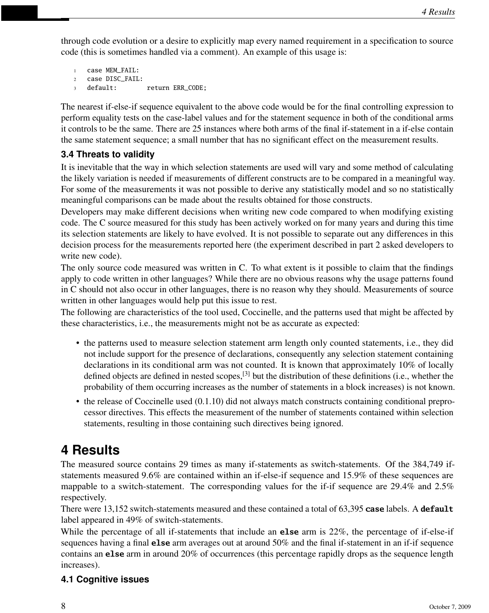through code evolution or a desire to explicitly map every named requirement in a specification to source code (this is sometimes handled via a comment). An example of this usage is:

```
1 case MEM_FAIL:
2 case DISC_FAIL:
3 default: return ERR_CODE;
```
The nearest if-else-if sequence equivalent to the above code would be for the final controlling expression to perform equality tests on the case-label values and for the statement sequence in both of the conditional arms it controls to be the same. There are 25 instances where both arms of the final if-statement in a if-else contain the same statement sequence; a small number that has no significant effect on the measurement results.

## **3.4 Threats to validity**

It is inevitable that the way in which selection statements are used will vary and some method of calculating the likely variation is needed if measurements of different constructs are to be compared in a meaningful way. For some of the measurements it was not possible to derive any statistically model and so no statistically meaningful comparisons can be made about the results obtained for those constructs.

Developers may make different decisions when writing new code compared to when modifying existing code. The C source measured for this study has been actively worked on for many years and during this time its selection statements are likely to have evolved. It is not possible to separate out any differences in this decision process for the measurements reported here (the experiment described in part 2 asked developers to write new code).

The only source code measured was written in C. To what extent is it possible to claim that the findings apply to code written in other languages? While there are no obvious reasons why the usage patterns found in C should not also occur in other languages, there is no reason why they should. Measurements of source written in other languages would help put this issue to rest.

The following are characteristics of the tool used, Coccinelle, and the patterns used that might be affected by these characteristics, i.e., the measurements might not be as accurate as expected:

- the patterns used to measure selection statement arm length only counted statements, i.e., they did not include support for the presence of declarations, consequently any selection statement containing declarations in its conditional arm was not counted. It is known that approximately 10% of locally defined objects are defined in nested scopes,[3] but the distribution of these definitions (i.e., whether the probability of them occurring increases as the number of statements in a block increases) is not known.
- the release of Coccinelle used (0.1.10) did not always match constructs containing conditional preprocessor directives. This effects the measurement of the number of statements contained within selection statements, resulting in those containing such directives being ignored.

# **4 Results**

The measured source contains 29 times as many if-statements as switch-statements. Of the 384,749 ifstatements measured 9.6% are contained within an if-else-if sequence and 15.9% of these sequences are mappable to a switch-statement. The corresponding values for the if-if sequence are 29.4% and 2.5% respectively.

There were 13,152 switch-statements measured and these contained a total of 63,395 **case** labels. A **default** label appeared in 49% of switch-statements.

While the percentage of all if-statements that include an **else** arm is 22%, the percentage of if-else-if sequences having a final **else** arm averages out at around 50% and the final if-statement in an if-if sequence contains an **else** arm in around 20% of occurrences (this percentage rapidly drops as the sequence length increases).

## **4.1 Cognitive issues**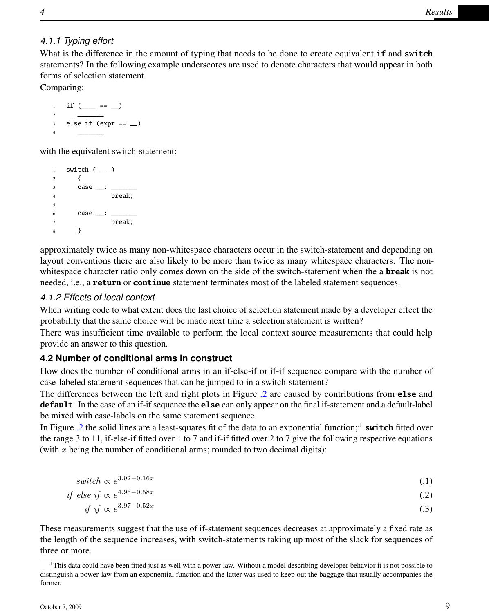## *4.1.1 Typing effort*

What is the difference in the amount of typing that needs to be done to create equivalent **if** and **switch** statements? In the following example underscores are used to denote characters that would appear in both forms of selection statement.

Comparing:

 $_1$  if (\_\_\_ == \_)  $\qquad \qquad$  else if (expr ==  $\Box$ )  $\qquad \qquad$ 

with the equivalent switch-statement:

```
1 switch (\_\_)2 {
3 case \_\_\rightleftharpoons \_\_\4 break;
5
6 case \_\_\rightleftharpoonup \_\_\7 break;
8 }
```
approximately twice as many non-whitespace characters occur in the switch-statement and depending on layout conventions there are also likely to be more than twice as many whitespace characters. The nonwhitespace character ratio only comes down on the side of the switch-statement when the a **break** is not needed, i.e., a **return** or **continue** statement terminates most of the labeled statement sequences.

### *4.1.2 Effects of local context*

When writing code to what extent does the last choice of selection statement made by a developer effect the probability that the same choice will be made next time a selection statement is written?

There was insufficient time available to perform the local context source measurements that could help provide an answer to this question.

### **4.2 Number of conditional arms in construct**

How does the number of conditional arms in an if-else-if or if-if sequence compare with the number of case-labeled statement sequences that can be jumped to in a switch-statement?

The differences between the left and right plots in Figure [.2](#page-9-0) are caused by contributions from **else** and **default**. In the case of an if-if sequence the **else** can only appear on the final if-statement and a default-label be mixed with case-labels on the same statement sequence.

In Figure [.2](#page-9-0) the solid lines are a least-squares fit of the data to an exponential function;.1 **switch** fitted over the range 3 to 11, if-else-if fitted over 1 to 7 and if-if fitted over 2 to 7 give the following respective equations (with  $x$  being the number of conditional arms; rounded to two decimal digits):

| switch $\propto e^{3.92-0.16x}$ | (.1) |
|---------------------------------|------|
|                                 |      |

if else if 
$$
\propto e^{4.96 - 0.58x}
$$
 (.2)

$$
if if \propto e^{3.97 - 0.52x} \tag{3}
$$

These measurements suggest that the use of if-statement sequences decreases at approximately a fixed rate as the length of the sequence increases, with switch-statements taking up most of the slack for sequences of three or more.

<sup>.1</sup>This data could have been fitted just as well with a power-law. Without a model describing developer behavior it is not possible to distinguish a power-law from an exponential function and the latter was used to keep out the baggage that usually accompanies the former.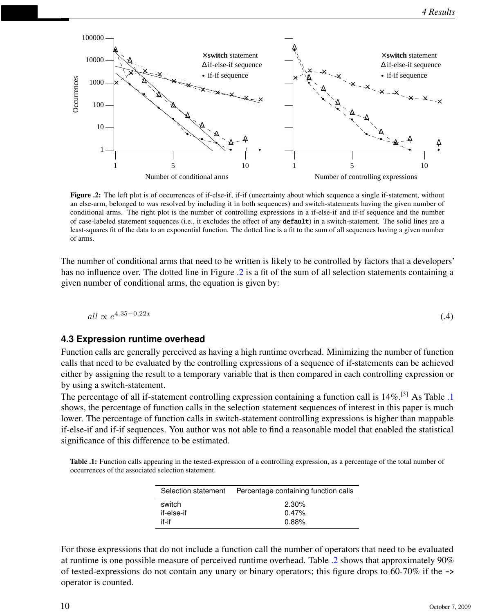

<span id="page-9-0"></span>Figure .2: The left plot is of occurrences of if-else-if, if-if (uncertainty about which sequence a single if-statement, without an else-arm, belonged to was resolved by including it in both sequences) and switch-statements having the given number of conditional arms. The right plot is the number of controlling expressions in a if-else-if and if-if sequence and the number of case-labeled statement sequences (i.e., it excludes the effect of any **default**) in a switch-statement. The solid lines are a least-squares fit of the data to an exponential function. The dotted line is a fit to the sum of all sequences having a given number of arms.

The number of conditional arms that need to be written is likely to be controlled by factors that a developers' has no influence over. The dotted line in Figure [.2](#page-9-0) is a fit of the sum of all selection statements containing a given number of conditional arms, the equation is given by:

$$
all \propto e^{4.35 - 0.22x} \tag{4}
$$

#### **4.3 Expression runtime overhead**

Function calls are generally perceived as having a high runtime overhead. Minimizing the number of function calls that need to be evaluated by the controlling expressions of a sequence of if-statements can be achieved either by assigning the result to a temporary variable that is then compared in each controlling expression or by using a switch-statement.

The percentage of all if-statement controlling expression containing a function call is 14%.[3] As Table [.1](#page-9-1) shows, the percentage of function calls in the selection statement sequences of interest in this paper is much lower. The percentage of function calls in switch-statement controlling expressions is higher than mappable if-else-if and if-if sequences. You author was not able to find a reasonable model that enabled the statistical significance of this difference to be estimated.

<span id="page-9-1"></span>Table .1: Function calls appearing in the tested-expression of a controlling expression, as a percentage of the total number of occurrences of the associated selection statement.

| Selection statement | Percentage containing function calls |
|---------------------|--------------------------------------|
| switch              | 2.30%                                |
| if-else-if          | 0.47%                                |
| if-if               | 0.88%                                |

For those expressions that do not include a function call the number of operators that need to be evaluated at runtime is one possible measure of perceived runtime overhead. Table [.2](#page-10-0) shows that approximately 90% of tested-expressions do not contain any unary or binary operators; this figure drops to 60-70% if the **->** operator is counted.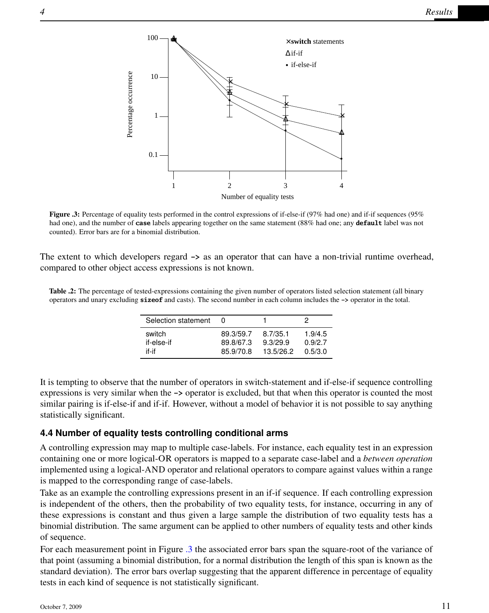

<span id="page-10-1"></span>Figure .3: Percentage of equality tests performed in the control expressions of if-else-if (97% had one) and if-if sequences (95% had one), and the number of **case** labels appearing together on the same statement (88% had one; any **default** label was not counted). Error bars are for a binomial distribution.

The extent to which developers regard **->** as an operator that can have a non-trivial runtime overhead, compared to other object access expressions is not known.

<span id="page-10-0"></span>Table .2: The percentage of tested-expressions containing the given number of operators listed selection statement (all binary operators and unary excluding **sizeof** and casts). The second number in each column includes the **->** operator in the total.

| Selection statement |           |           | 2       |
|---------------------|-----------|-----------|---------|
| switch              | 89.3/59.7 | 8.7/35.1  | 1.9/4.5 |
| if-else-if          | 89.8/67.3 | 9.3/29.9  | 0.9/2.7 |
| if-if               | 85.9/70.8 | 13.5/26.2 | 0.5/3.0 |

It is tempting to observe that the number of operators in switch-statement and if-else-if sequence controlling expressions is very similar when the **->** operator is excluded, but that when this operator is counted the most similar pairing is if-else-if and if-if. However, without a model of behavior it is not possible to say anything statistically significant.

#### **4.4 Number of equality tests controlling conditional arms**

A controlling expression may map to multiple case-labels. For instance, each equality test in an expression containing one or more logical-OR operators is mapped to a separate case-label and a *between operation* implemented using a logical-AND operator and relational operators to compare against values within a range is mapped to the corresponding range of case-labels.

Take as an example the controlling expressions present in an if-if sequence. If each controlling expression is independent of the others, then the probability of two equality tests, for instance, occurring in any of these expressions is constant and thus given a large sample the distribution of two equality tests has a binomial distribution. The same argument can be applied to other numbers of equality tests and other kinds of sequence.

For each measurement point in Figure [.3](#page-10-1) the associated error bars span the square-root of the variance of that point (assuming a binomial distribution, for a normal distribution the length of this span is known as the standard deviation). The error bars overlap suggesting that the apparent difference in percentage of equality tests in each kind of sequence is not statistically significant.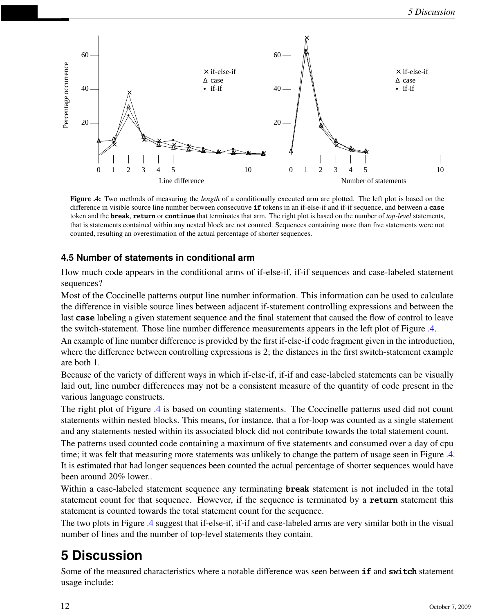

<span id="page-11-0"></span>Figure .4: Two methods of measuring the *length* of a conditionally executed arm are plotted. The left plot is based on the difference in visible source line number between consecutive **if** tokens in an if-else-if and if-if sequence, and between a **case** token and the **break**, **return** or **continue** that terminates that arm. The right plot is based on the number of *top-level* statements, that is statements contained within any nested block are not counted. Sequences containing more than five statements were not counted, resulting an overestimation of the actual percentage of shorter sequences.

### **4.5 Number of statements in conditional arm**

How much code appears in the conditional arms of if-else-if, if-if sequences and case-labeled statement sequences?

Most of the Coccinelle patterns output line number information. This information can be used to calculate the difference in visible source lines between adjacent if-statement controlling expressions and between the last **case** labeling a given statement sequence and the final statement that caused the flow of control to leave the switch-statement. Those line number difference measurements appears in the left plot of Figure [.4.](#page-11-0)

An example of line number difference is provided by the first if-else-if code fragment given in the introduction, where the difference between controlling expressions is 2; the distances in the first switch-statement example are both 1.

Because of the variety of different ways in which if-else-if, if-if and case-labeled statements can be visually laid out, line number differences may not be a consistent measure of the quantity of code present in the various language constructs.

The right plot of Figure [.4](#page-11-0) is based on counting statements. The Coccinelle patterns used did not count statements within nested blocks. This means, for instance, that a for-loop was counted as a single statement and any statements nested within its associated block did not contribute towards the total statement count.

The patterns used counted code containing a maximum of five statements and consumed over a day of cpu time; it was felt that measuring more statements was unlikely to change the pattern of usage seen in Figure [.4.](#page-11-0) It is estimated that had longer sequences been counted the actual percentage of shorter sequences would have been around 20% lower..

Within a case-labeled statement sequence any terminating **break** statement is not included in the total statement count for that sequence. However, if the sequence is terminated by a **return** statement this statement is counted towards the total statement count for the sequence.

The two plots in Figure [.4](#page-11-0) suggest that if-else-if, if-if and case-labeled arms are very similar both in the visual number of lines and the number of top-level statements they contain.

# **5 Discussion**

Some of the measured characteristics where a notable difference was seen between **if** and **switch** statement usage include: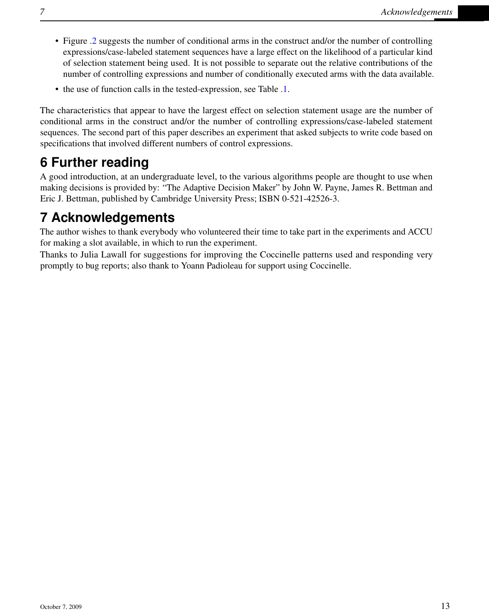- Figure [.2](#page-9-0) suggests the number of conditional arms in the construct and/or the number of controlling expressions/case-labeled statement sequences have a large effect on the likelihood of a particular kind of selection statement being used. It is not possible to separate out the relative contributions of the number of controlling expressions and number of conditionally executed arms with the data available.
- the use of function calls in the tested-expression, see Table [.1.](#page-9-1)

The characteristics that appear to have the largest effect on selection statement usage are the number of conditional arms in the construct and/or the number of controlling expressions/case-labeled statement sequences. The second part of this paper describes an experiment that asked subjects to write code based on specifications that involved different numbers of control expressions.

## **6 Further reading**

A good introduction, at an undergraduate level, to the various algorithms people are thought to use when making decisions is provided by: "The Adaptive Decision Maker" by John W. Payne, James R. Bettman and Eric J. Bettman, published by Cambridge University Press; ISBN 0-521-42526-3.

## **7 Acknowledgements**

The author wishes to thank everybody who volunteered their time to take part in the experiments and ACCU for making a slot available, in which to run the experiment.

Thanks to Julia Lawall for suggestions for improving the Coccinelle patterns used and responding very promptly to bug reports; also thank to Yoann Padioleau for support using Coccinelle.